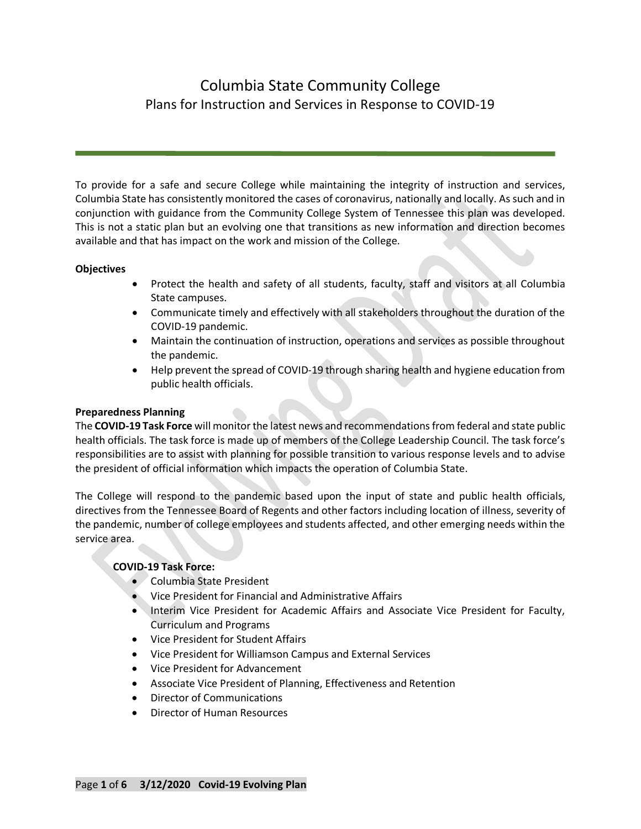# Columbia State Community College Plans for Instruction and Services in Response to COVID-19

To provide for a safe and secure College while maintaining the integrity of instruction and services, Columbia State has consistently monitored the cases of coronavirus, nationally and locally. As such and in conjunction with guidance from the Community College System of Tennessee this plan was developed. This is not a static plan but an evolving one that transitions as new information and direction becomes available and that has impact on the work and mission of the College.

### **Objectives**

- Protect the health and safety of all students, faculty, staff and visitors at all Columbia State campuses.
- Communicate timely and effectively with all stakeholders throughout the duration of the COVID-19 pandemic.
- Maintain the continuation of instruction, operations and services as possible throughout the pandemic.
- Help prevent the spread of COVID-19 through sharing health and hygiene education from public health officials.

## **Preparedness Planning**

The **COVID-19 Task Force** will monitor the latest news and recommendations from federal and state public health officials. The task force is made up of members of the College Leadership Council. The task force's responsibilities are to assist with planning for possible transition to various response levels and to advise the president of official information which impacts the operation of Columbia State.

The College will respond to the pandemic based upon the input of state and public health officials, directives from the Tennessee Board of Regents and other factors including location of illness, severity of the pandemic, number of college employees and students affected, and other emerging needs within the service area.

## **COVID-19 Task Force:**

- Columbia State President
- Vice President for Financial and Administrative Affairs
- Interim Vice President for Academic Affairs and Associate Vice President for Faculty, Curriculum and Programs
- Vice President for Student Affairs
- Vice President for Williamson Campus and External Services
- Vice President for Advancement
- Associate Vice President of Planning, Effectiveness and Retention
- Director of Communications
- Director of Human Resources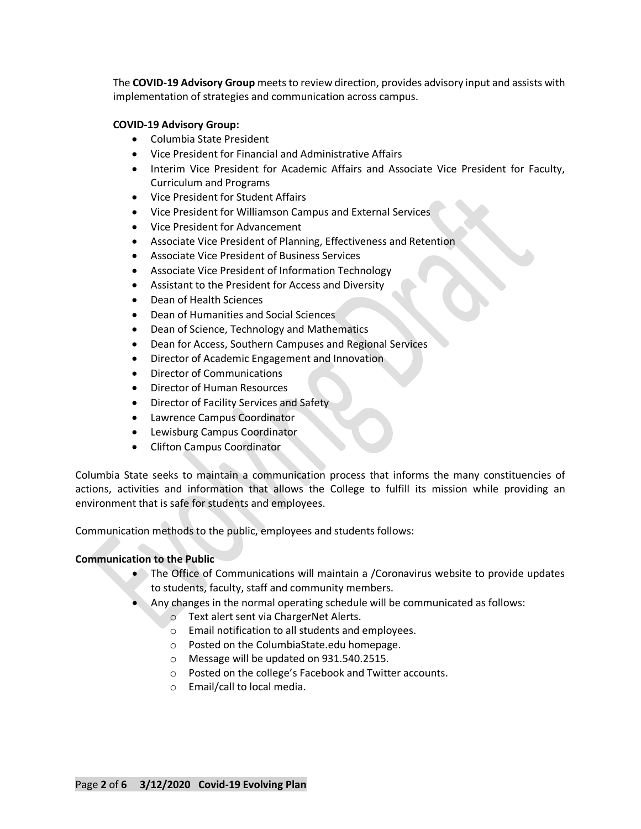The **COVID-19 Advisory Group** meets to review direction, provides advisory input and assists with implementation of strategies and communication across campus.

#### **COVID-19 Advisory Group:**

- Columbia State President
- Vice President for Financial and Administrative Affairs
- Interim Vice President for Academic Affairs and Associate Vice President for Faculty, Curriculum and Programs
- Vice President for Student Affairs
- Vice President for Williamson Campus and External Services
- Vice President for Advancement
- Associate Vice President of Planning, Effectiveness and Retention
- Associate Vice President of Business Services
- Associate Vice President of Information Technology
- Assistant to the President for Access and Diversity
- Dean of Health Sciences
- Dean of Humanities and Social Sciences
- Dean of Science, Technology and Mathematics
- Dean for Access, Southern Campuses and Regional Services
- Director of Academic Engagement and Innovation
- Director of Communications
- Director of Human Resources
- Director of Facility Services and Safety
- Lawrence Campus Coordinator
- Lewisburg Campus Coordinator
- Clifton Campus Coordinator

Columbia State seeks to maintain a communication process that informs the many constituencies of actions, activities and information that allows the College to fulfill its mission while providing an environment that is safe for students and employees.

Communication methods to the public, employees and students follows:

### **Communication to the Public**

- The Office of Communications will maintain a /Coronavirus website to provide updates to students, faculty, staff and community members.
- Any changes in the normal operating schedule will be communicated as follows:
	- o Text alert sent via ChargerNet Alerts.
	- o Email notification to all students and employees.
	- o Posted on the ColumbiaState.edu homepage.
	- o Message will be updated on 931.540.2515.
	- o Posted on the college's Facebook and Twitter accounts.
	- o Email/call to local media.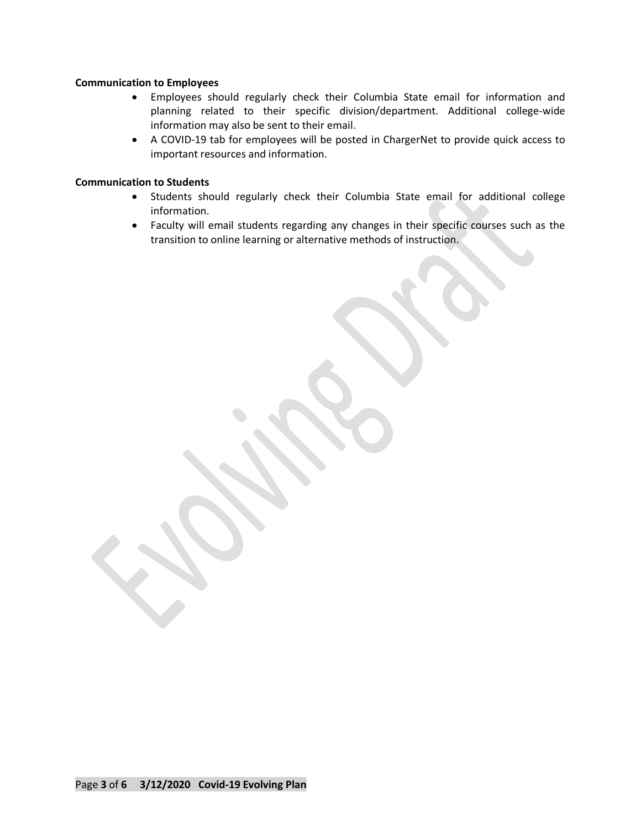#### **Communication to Employees**

- Employees should regularly check their Columbia State email for information and planning related to their specific division/department. Additional college-wide information may also be sent to their email.
- A COVID-19 tab for employees will be posted in ChargerNet to provide quick access to important resources and information.

#### **Communication to Students**

- Students should regularly check their Columbia State email for additional college information.
- Faculty will email students regarding any changes in their specific courses such as the transition to online learning or alternative methods of instruction.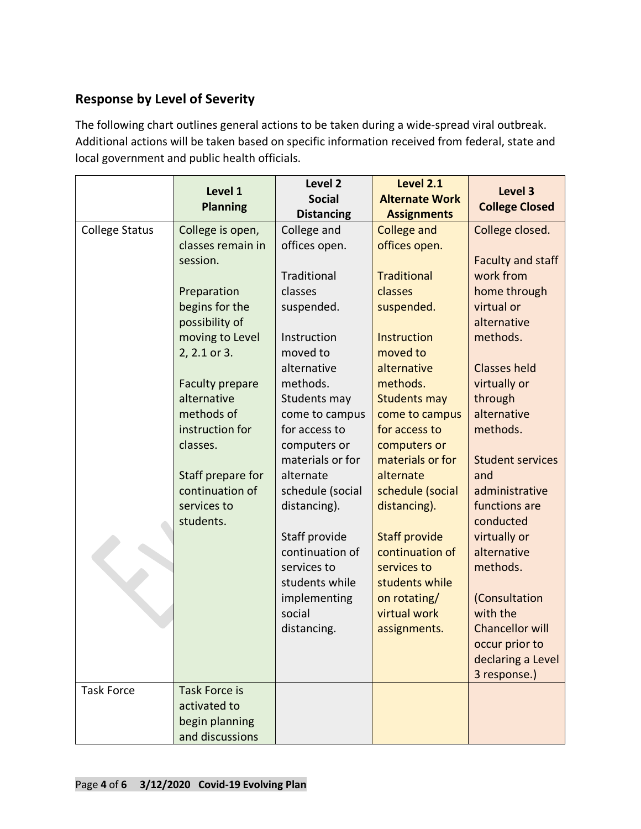# **Response by Level of Severity**

The following chart outlines general actions to be taken during a wide-spread viral outbreak. Additional actions will be taken based on specific information received from federal, state and local government and public health officials.

|                       | Level 1<br><b>Planning</b>            | Level <sub>2</sub><br><b>Social</b><br><b>Distancing</b> | <b>Level 2.1</b><br><b>Alternate Work</b><br><b>Assignments</b> | Level 3<br><b>College Closed</b>   |
|-----------------------|---------------------------------------|----------------------------------------------------------|-----------------------------------------------------------------|------------------------------------|
| <b>College Status</b> | College is open,<br>classes remain in | College and<br>offices open.                             | <b>College and</b><br>offices open.                             | College closed.                    |
|                       | session.                              |                                                          |                                                                 | <b>Faculty and staff</b>           |
|                       |                                       | Traditional                                              | <b>Traditional</b>                                              | work from                          |
|                       | Preparation                           | classes                                                  | classes                                                         | home through                       |
|                       | begins for the                        | suspended.                                               | suspended.                                                      | virtual or                         |
|                       | possibility of                        |                                                          |                                                                 | alternative                        |
|                       | moving to Level                       | Instruction                                              | Instruction                                                     | methods.                           |
|                       | 2, 2.1 or 3.                          | moved to                                                 | moved to                                                        |                                    |
|                       |                                       | alternative                                              | alternative                                                     | <b>Classes held</b>                |
|                       | <b>Faculty prepare</b>                | methods.                                                 | methods.                                                        | virtually or                       |
|                       | alternative<br>methods of             | Students may                                             | <b>Students may</b>                                             | through<br>alternative             |
|                       | instruction for                       | come to campus<br>for access to                          | come to campus<br>for access to                                 | methods.                           |
|                       | classes.                              | computers or                                             | computers or                                                    |                                    |
|                       |                                       | materials or for                                         | materials or for                                                | <b>Student services</b>            |
|                       | Staff prepare for                     | alternate                                                | alternate                                                       | and                                |
|                       | continuation of                       | schedule (social                                         | schedule (social                                                | administrative                     |
|                       | services to                           | distancing).                                             | distancing).                                                    | functions are                      |
|                       | students.                             |                                                          |                                                                 | conducted                          |
|                       |                                       | Staff provide                                            | <b>Staff provide</b>                                            | virtually or                       |
|                       |                                       | continuation of                                          | continuation of                                                 | alternative                        |
|                       |                                       | services to                                              | services to                                                     | methods.                           |
|                       |                                       | students while                                           | students while                                                  |                                    |
|                       |                                       | implementing                                             | on rotating/                                                    | (Consultation                      |
|                       |                                       | social<br>distancing.                                    | virtual work<br>assignments.                                    | with the<br><b>Chancellor will</b> |
|                       |                                       |                                                          |                                                                 | occur prior to                     |
|                       |                                       |                                                          |                                                                 | declaring a Level                  |
|                       |                                       |                                                          |                                                                 | 3 response.)                       |
| <b>Task Force</b>     | <b>Task Force is</b>                  |                                                          |                                                                 |                                    |
|                       | activated to                          |                                                          |                                                                 |                                    |
|                       | begin planning                        |                                                          |                                                                 |                                    |
|                       | and discussions                       |                                                          |                                                                 |                                    |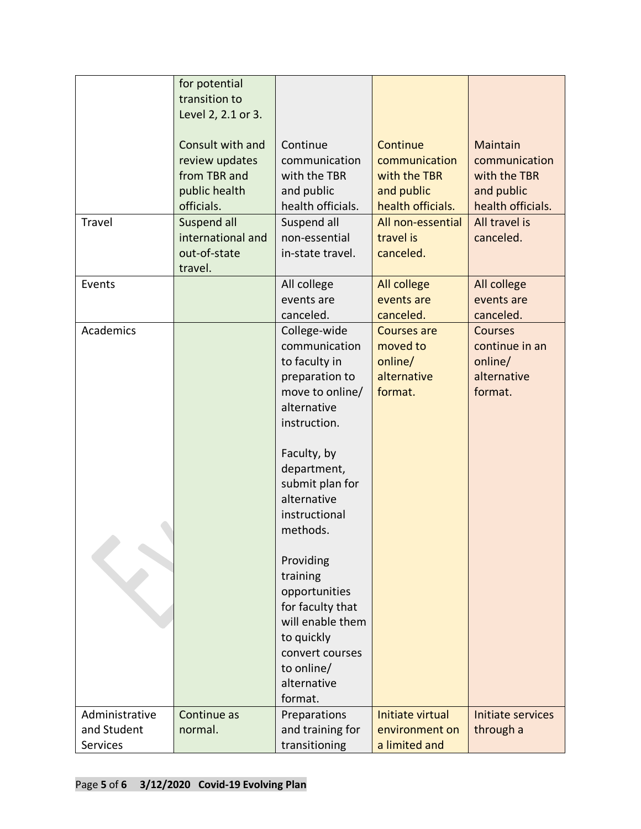|                                           | for potential<br>transition to                                      |                                                                                                                                                         |                                                                     |                                                                       |
|-------------------------------------------|---------------------------------------------------------------------|---------------------------------------------------------------------------------------------------------------------------------------------------------|---------------------------------------------------------------------|-----------------------------------------------------------------------|
|                                           | Level 2, 2.1 or 3.                                                  |                                                                                                                                                         |                                                                     | Maintain                                                              |
|                                           | Consult with and<br>review updates<br>from TBR and<br>public health | Continue<br>communication<br>with the TBR<br>and public                                                                                                 | Continue<br>communication<br>with the TBR<br>and public             | communication<br>with the TBR<br>and public                           |
|                                           | officials.                                                          | health officials.                                                                                                                                       | health officials.                                                   | health officials.                                                     |
| Travel                                    | Suspend all<br>international and<br>out-of-state<br>travel.         | Suspend all<br>non-essential<br>in-state travel.                                                                                                        | All non-essential<br>travel is<br>canceled.                         | All travel is<br>canceled.                                            |
| Events                                    |                                                                     | All college<br>events are<br>canceled.                                                                                                                  | All college<br>events are<br>canceled.                              | All college<br>events are<br>canceled.                                |
| Academics                                 |                                                                     | College-wide<br>communication<br>to faculty in<br>preparation to<br>move to online/<br>alternative<br>instruction.                                      | <b>Courses are</b><br>moved to<br>online/<br>alternative<br>format. | <b>Courses</b><br>continue in an<br>online/<br>alternative<br>format. |
|                                           |                                                                     | Faculty, by<br>department,<br>submit plan for<br>alternative<br>instructional<br>methods.                                                               |                                                                     |                                                                       |
|                                           |                                                                     | Providing<br>training<br>opportunities<br>for faculty that<br>will enable them<br>to quickly<br>convert courses<br>to online/<br>alternative<br>format. |                                                                     |                                                                       |
| Administrative<br>and Student<br>Services | Continue as<br>normal.                                              | Preparations<br>and training for<br>transitioning                                                                                                       | Initiate virtual<br>environment on<br>a limited and                 | Initiate services<br>through a                                        |